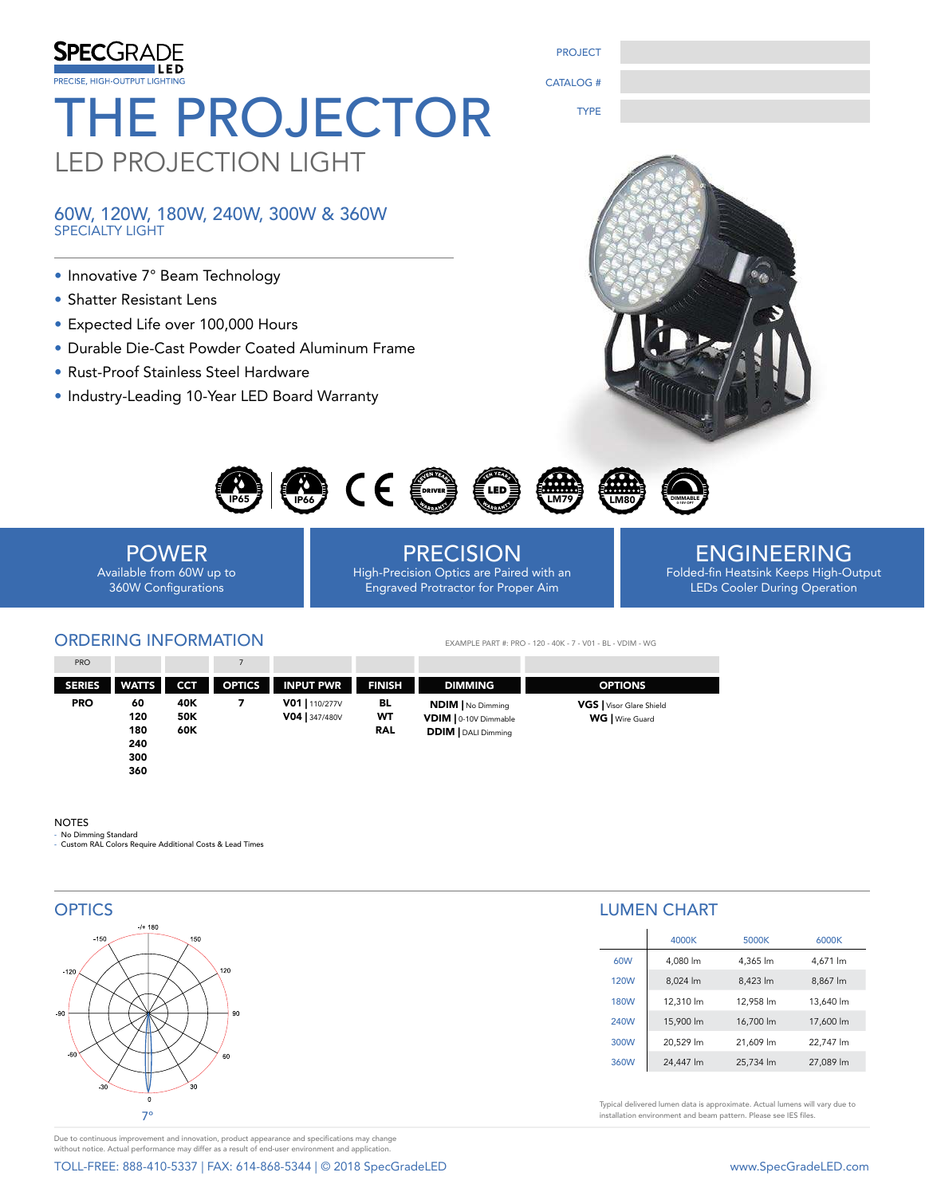

60W, 120W, 180W, 240W, 300W & 360W SPECIALTY LIGHT

- Innovative 7° Beam Technology
- Shatter Resistant Lens
- Expected Life over 100,000 Hours
- Durable Die-Cast Powder Coated Aluminum Frame
- Rust-Proof Stainless Steel Hardware
- Industry-Leading 10-Year LED Board Warranty



0-10V OPT



POWER Available from 60W up to 360W Configurations

PRECISION High-Precision Optics are Paired with an Engraved Protractor for Proper Aim

# ENGINEERING Folded-fin Heatsink Keeps High-Output

LEDs Cooler During Operation

### ORDERING INFORMATION PRO 7

EXAMPLE PART #: PRO - 120 - 40K - 7 - V01 - BL - VDIM - WG

PROJECT

CATALOG #

TYPE

| PRO           |                                |                          |               |                                |                        |                                                                                 |                                             |
|---------------|--------------------------------|--------------------------|---------------|--------------------------------|------------------------|---------------------------------------------------------------------------------|---------------------------------------------|
| <b>SERIES</b> | <b>WATTS</b>                   | <b>CCT</b>               | <b>OPTICS</b> | <b>INPUT PWR</b>               | <b>FINISH</b>          | <b>DIMMING</b>                                                                  | <b>OPTIONS</b>                              |
| <b>PRO</b>    | 60<br>120<br>180<br>240<br>300 | 40K<br><b>50K</b><br>60K |               | V01   110/277V<br>V04 347/480V | BL<br>WT<br><b>RAL</b> | <b>NDIM</b>   No Dimming<br>VDIM   0-10V Dimmable<br><b>DDIM</b>   DALI Dimming | VGS   Visor Glare Shield<br>WG   Wire Guard |

### NOTES

- No Dimming Standard - Custom RAL Colors Require Additional Costs & Lead Times

360



Due to continuous improvement and innovation, product appearance and specifications may change without notice. Actual performance may differ as a result of end-user environment and application.

TOLL-FREE: 888-410-5337 | FAX: 614-868-5344 | © 2018 SpecGradeLED www.SpecGradeLED.com